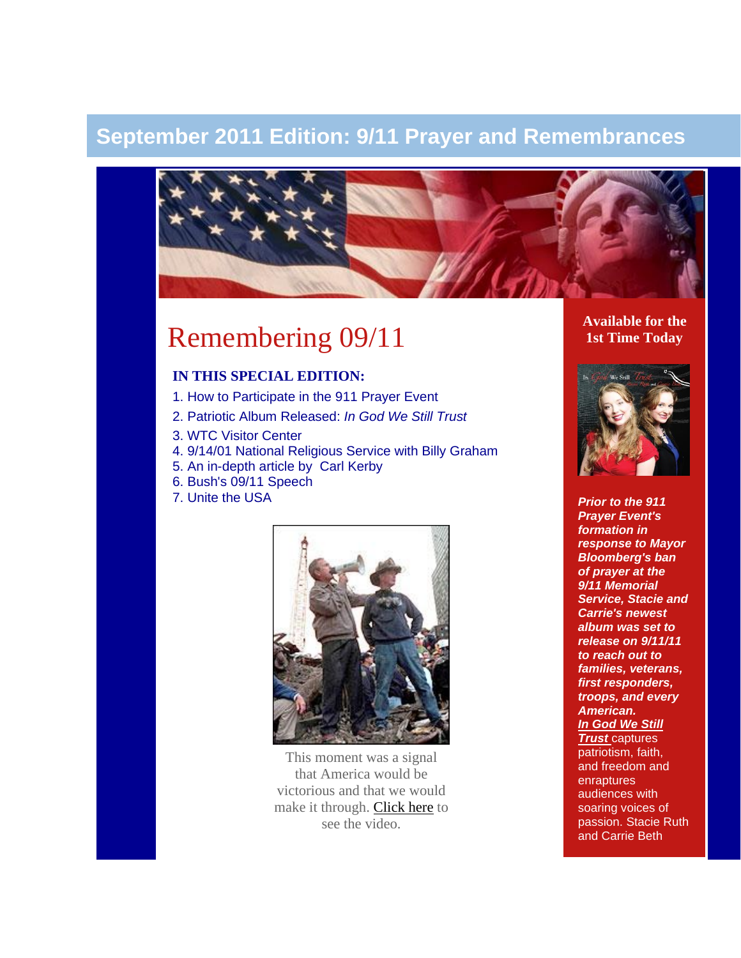# **September 2011 Edition: 9/11 Prayer and Remembrances**



# Remembering 09/11

### **IN THIS SPECIAL EDITION:**

- 1. How to Participate in the 911 Prayer Event
- 2. Patriotic Album Released: *In God We Still Trust*
- 3. WTC Visitor Center
- 4. 9/14/01 National Religious Service with Billy Graham
- 5. An in-depth article by Carl Kerby
- 6. Bush's 09/11 Speech
- 7. Unite the USA



This moment was a signal that America would be victorious and that we would make it through. [Click here](http://www.youtube.com/watch?v=x7OCgMPX2mE&feature=player_embedded#!) to see the video.

**Available for the 1st Time Today**



*Prior to the 911 Prayer Event's formation in response to Mayor Bloomberg's ban of prayer at the 9/11 Memorial Service, Stacie and Carrie's newest album was set to release on 9/11/11 to reach out to families, veterans, first responders, troops, and every American.* **In God We Still** 

*[Trust](http://unitetheusa.org/id56.html)* captures patriotism, faith, and freedom and enraptures audiences with soaring voices of passion. Stacie Ruth and Carrie Beth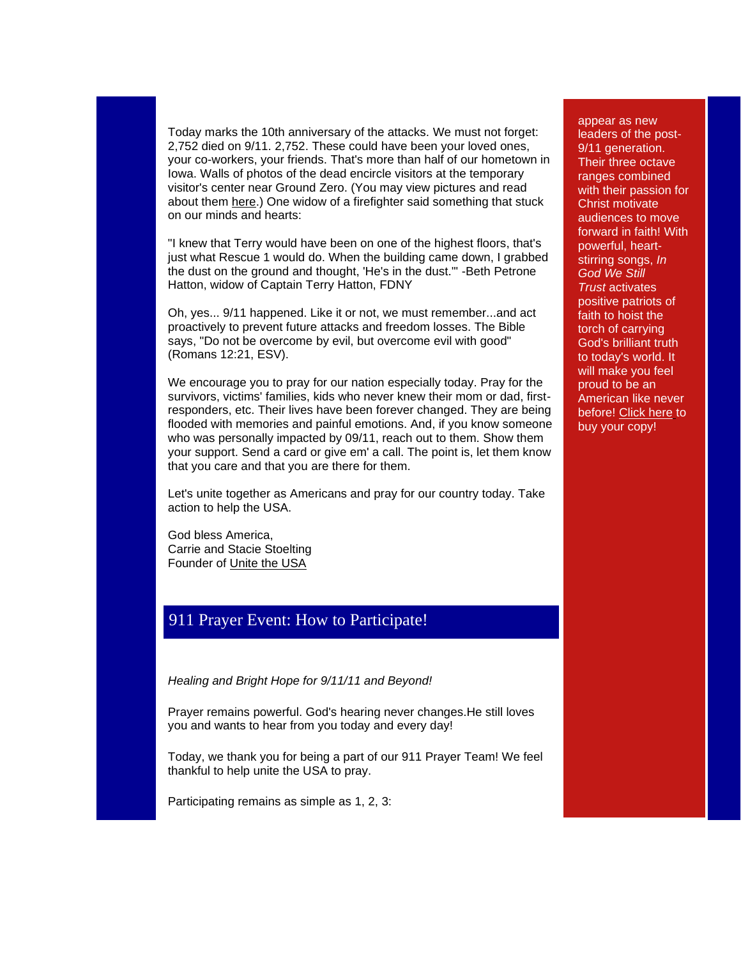Today marks the 10th anniversary of the attacks. We must not forget: 2,752 died on 9/11. 2,752. These could have been your loved ones, your co-workers, your friends. That's more than half of our hometown in Iowa. Walls of photos of the dead encircle visitors at the temporary visitor's center near Ground Zero. (You may view pictures and read about them [here.](http://www.tributewtc.org/exhibits/gallery4.php)) One widow of a firefighter said something that stuck on our minds and hearts:

"I knew that Terry would have been on one of the highest floors, that's just what Rescue 1 would do. When the building came down, I grabbed the dust on the ground and thought, 'He's in the dust.'" -Beth Petrone Hatton, widow of Captain Terry Hatton, FDNY

Oh, yes... 9/11 happened. Like it or not, we must remember...and act proactively to prevent future attacks and freedom losses. The Bible says, "Do not be overcome by evil, but overcome evil with good" (Romans 12:21, ESV).

We encourage you to pray for our nation especially today. Pray for the survivors, victims' families, kids who never knew their mom or dad, firstresponders, etc. Their lives have been forever changed. They are being flooded with memories and painful emotions. And, if you know someone who was personally impacted by 09/11, reach out to them. Show them your support. Send a card or give em' a call. The point is, let them know that you care and that you are there for them.

Let's unite together as Americans and pray for our country today. Take action to help the USA.

God bless America, Carrie and Stacie Stoelting Founder of [Unite the USA](http://unitetheusa.org/index.html)

### 911 Prayer Event: How to Participate!

*Healing and Bright Hope for 9/11/11 and Beyond!*

Prayer remains powerful. God's hearing never changes.He still loves you and wants to hear from you today and every day!

Today, we thank you for being a part of our 911 Prayer Team! We feel thankful to help unite the USA to pray.

Participating remains as simple as 1, 2, 3:

appear as new leaders of the post-9/11 generation. Their three octave ranges combined with their passion for Christ motivate audiences to move forward in faith! With powerful, heartstirring songs, *In God We Still Trust* activates positive patriots of faith to hoist the torch of carrying God's brilliant truth to today's world. It will make you feel proud to be an American like never before! [Click here](http://unitetheusa.org/id56.html) to buy your copy!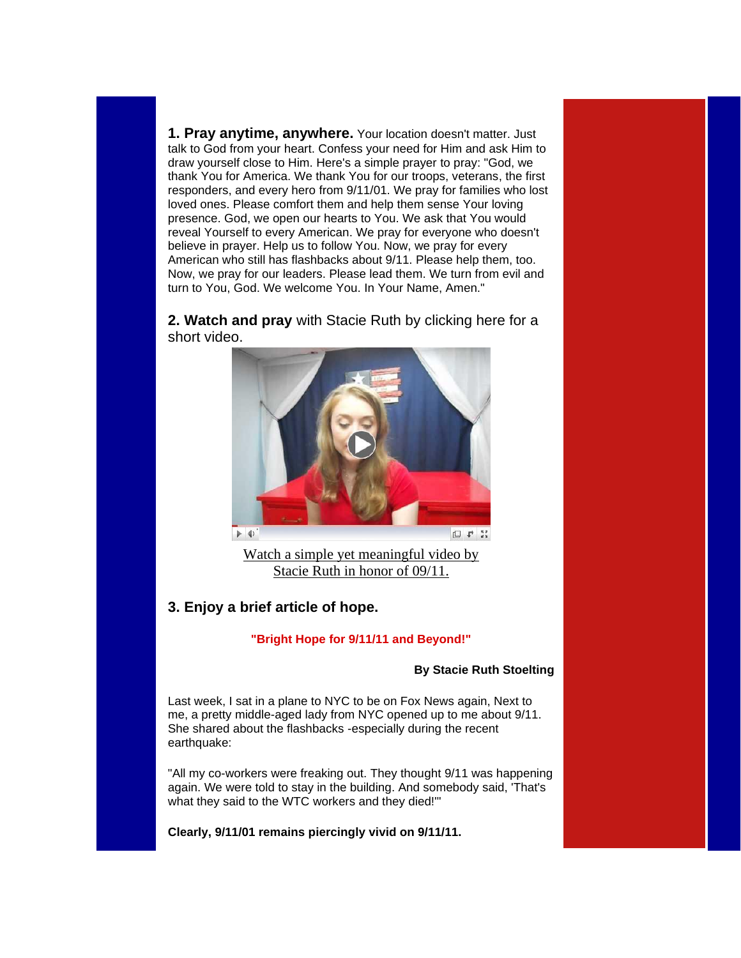**1. Pray anytime, anywhere.** Your location doesn't matter. Just talk to God from your heart. Confess your need for Him and ask Him to draw yourself close to Him. Here's a simple prayer to pray: "God, we thank You for America. We thank You for our troops, veterans, the first responders, and every hero from 9/11/01. We pray for families who lost loved ones. Please comfort them and help them sense Your loving presence. God, we open our hearts to You. We ask that You would reveal Yourself to every American. We pray for everyone who doesn't believe in prayer. Help us to follow You. Now, we pray for every American who still has flashbacks about 9/11. Please help them, too. Now, we pray for our leaders. Please lead them. We turn from evil and turn to You, God. We welcome You. In Your Name, Amen."

**2. Watch and pray** with Stacie Ruth by clicking here for a short video.



[Watch a simple yet meaningful video by](http://www.youtube.com/watch?v=iLIhughf5No&feature=youtu.be)  [Stacie Ruth in honor of 09/11.](http://www.youtube.com/watch?v=iLIhughf5No&feature=youtu.be)

### **3. Enjoy a brief article of hope.**

#### **"Bright Hope for 9/11/11 and Beyond!"**

#### **By Stacie Ruth Stoelting**

Last week, I sat in a plane to NYC to be on Fox News again, Next to me, a pretty middle-aged lady from NYC opened up to me about 9/11. She shared about the flashbacks -especially during the recent earthquake:

"All my co-workers were freaking out. They thought 9/11 was happening again. We were told to stay in the building. And somebody said, 'That's what they said to the WTC workers and they died!'"

**Clearly, 9/11/01 remains piercingly vivid on 9/11/11.**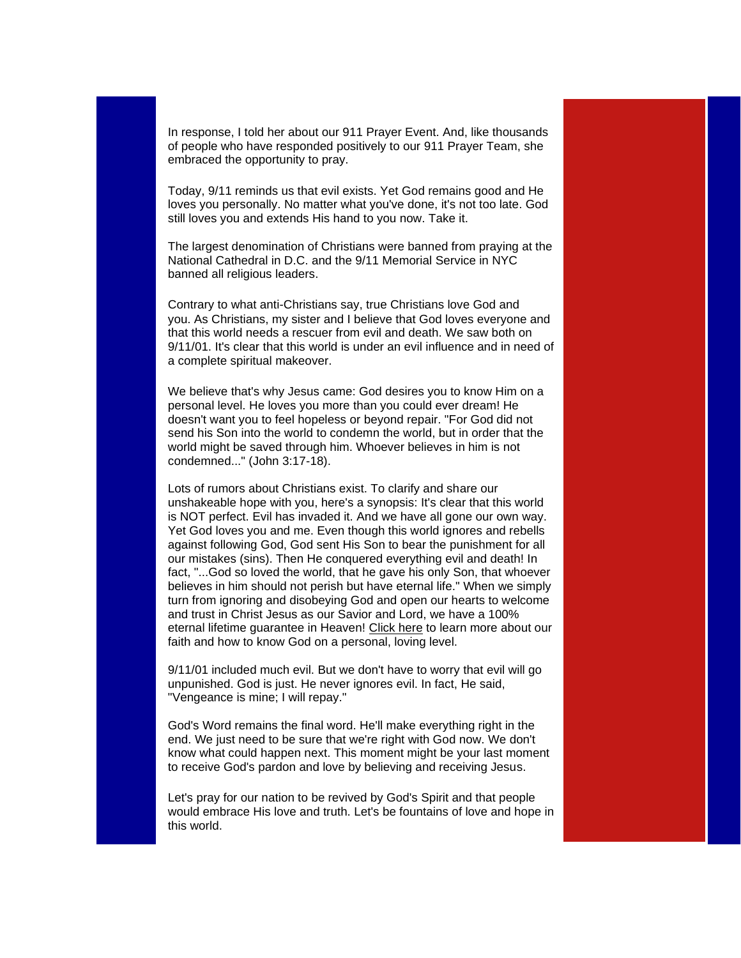In response, I told her about our 911 Prayer Event. And, like thousands of people who have responded positively to our 911 Prayer Team, she embraced the opportunity to pray.

Today, 9/11 reminds us that evil exists. Yet God remains good and He loves you personally. No matter what you've done, it's not too late. God still loves you and extends His hand to you now. Take it.

The largest denomination of Christians were banned from praying at the National Cathedral in D.C. and the 9/11 Memorial Service in NYC banned all religious leaders.

Contrary to what anti-Christians say, true Christians love God and you. As Christians, my sister and I believe that God loves everyone and that this world needs a rescuer from evil and death. We saw both on 9/11/01. It's clear that this world is under an evil influence and in need of a complete spiritual makeover.

We believe that's why Jesus came: God desires you to know Him on a personal level. He loves you more than you could ever dream! He doesn't want you to feel hopeless or beyond repair. "For God did not send his Son into the world to condemn the world, but in order that the world might be saved through him. Whoever believes in him is not condemned..." (John 3:17-18).

Lots of rumors about Christians exist. To clarify and share our unshakeable hope with you, here's a synopsis: It's clear that this world is NOT perfect. Evil has invaded it. And we have all gone our own way. Yet God loves you and me. Even though this world ignores and rebells against following God, God sent His Son to bear the punishment for all our mistakes (sins). Then He conquered everything evil and death! In fact, "...God so loved the world, that he gave his only Son, that whoever believes in him should not perish but have eternal life." When we simply turn from ignoring and disobeying God and open our hearts to welcome and trust in Christ Jesus as our Savior and Lord, we have a 100% eternal lifetime guarantee in Heaven! [Click here](http://prayingpals.org/knowgod.html) to learn more about our faith and how to know God on a personal, loving level.

9/11/01 included much evil. But we don't have to worry that evil will go unpunished. God is just. He never ignores evil. In fact, He said, "Vengeance is mine; I will repay."

God's Word remains the final word. He'll make everything right in the end. We just need to be sure that we're right with God now. We don't know what could happen next. This moment might be your last moment to receive God's pardon and love by believing and receiving Jesus.

Let's pray for our nation to be revived by God's Spirit and that people would embrace His love and truth. Let's be fountains of love and hope in this world.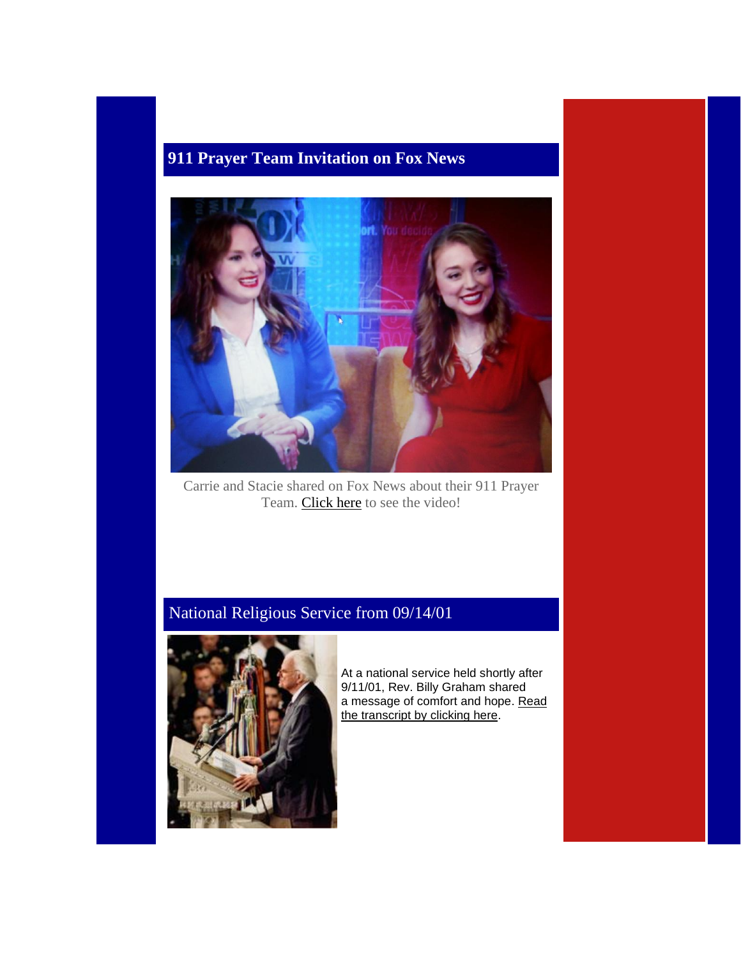# **911 Prayer Team Invitation on Fox News**



Carrie and Stacie shared on Fox News about their 911 Prayer Team. [Click here](http://video.foxnews.com/v/1144563067001/praying-in-protest-sisters-create-911-prayer-team) to see the video!

# National Religious Service from 09/14/01



At a national service held shortly after 9/11/01, Rev. Billy Graham shared a message of comfort and hope. [Read](http://www.billygraham.org/articlepage.asp?articleid=113)  [the transcript by clicking here.](http://www.billygraham.org/articlepage.asp?articleid=113)